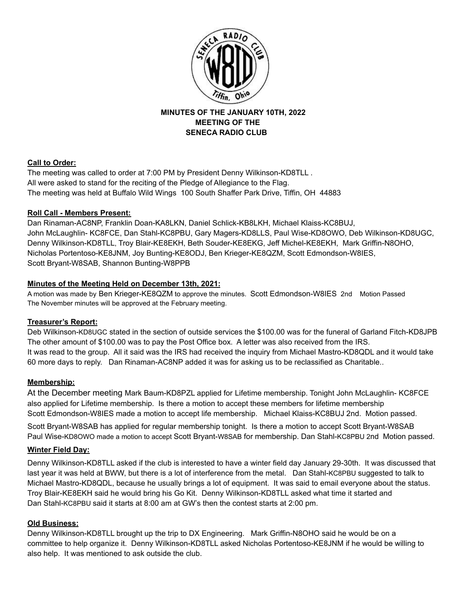

**MINUTES OF THE JANUARY 10TH, 2022 MEETING OF THE SENECA RADIO CLUB**

# **Call to Order:**

The meeting was called to order at 7:00 PM by President Denny Wilkinson-KD8TLL . All were asked to stand for the reciting of the Pledge of Allegiance to the Flag. The meeting was held at Buffalo Wild Wings 100 South Shaffer Park Drive, Tiffin, OH 44883

# **Roll Call - Members Present:**

Dan Rinaman-AC8NP, Franklin Doan-KA8LKN, Daniel Schlick-KB8LKH, Michael Klaiss-KC8BUJ, John McLaughlin- KC8FCE, Dan Stahl-KC8PBU, Gary Magers-KD8LLS, Paul Wise-KD8OWO, Deb Wilkinson-KD8UGC, Denny Wilkinson-KD8TLL, Troy Blair-KE8EKH, Beth Souder-KE8EKG, Jeff Michel-KE8EKH, Mark Griffin-N8OHO, Nicholas Portentoso-KE8JNM, Joy Bunting-KE8ODJ, Ben Krieger-KE8QZM, Scott Edmondson-W8IES, Scott Bryant-W8SAB, Shannon Bunting-W8PPB

# **Minutes of the Meeting Held on December 13th, 2021:**

A motion was made by Ben Krieger-KE8QZM to approve the minutes. Scott Edmondson-W8IES 2nd Motion Passed The November minutes will be approved at the February meeting.

## **Treasurer's Report:**

Deb Wilkinson-KD8UGC stated in the section of outside services the \$100.00 was for the funeral of Garland Fitch-KD8JPB The other amount of \$100.00 was to pay the Post Office box. A letter was also received from the IRS. It was read to the group. All it said was the IRS had received the inquiry from Michael Mastro-KD8QDL and it would take 60 more days to reply. Dan Rinaman-AC8NP added it was for asking us to be reclassified as Charitable..

# **Membership:**

At the December meeting Mark Baum-KD8PZL applied for Lifetime membership. Tonight John McLaughlin- KC8FCE also applied for Lifetime membership. Is there a motion to accept these members for lifetime membership Scott Edmondson-W8IES made a motion to accept life membership. Michael Klaiss-KC8BUJ 2nd. Motion passed.

Scott Bryant-W8SAB has applied for regular membership tonight. Is there a motion to accept Scott Bryant-W8SAB Paul Wise-KD8OWO made a motion to accept Scott Bryant-W8SAB for membership. Dan Stahl-KC8PBU 2nd Motion passed.

## **Winter Field Day:**

Denny Wilkinson-KD8TLL asked if the club is interested to have a winter field day January 29-30th. It was discussed that last year it was held at BWW, but there is a lot of interference from the metal. Dan Stahl-KC8PBU suggested to talk to Michael Mastro-KD8QDL, because he usually brings a lot of equipment. It was said to email everyone about the status. Troy Blair-KE8EKH said he would bring his Go Kit. Denny Wilkinson-KD8TLL asked what time it started and Dan Stahl-KC8PBU said it starts at 8:00 am at GW's then the contest starts at 2:00 pm.

## **Old Business:**

Denny Wilkinson-KD8TLL brought up the trip to DX Engineering. Mark Griffin-N8OHO said he would be on a committee to help organize it. Denny Wilkinson-KD8TLL asked Nicholas Portentoso-KE8JNM if he would be willing to also help. It was mentioned to ask outside the club.